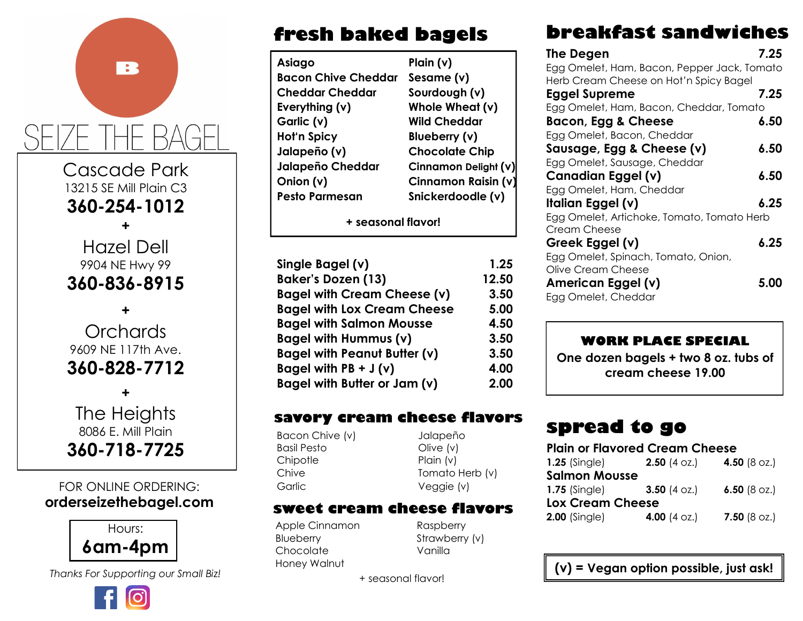# Cascade Park

R

13215 SE Mill Plain C3 **360-254-1012**

**+**

Hazel Dell 9904 NE Hwy 99 **360-836-8915**

**+ Orchards** 9609 NE 117th Ave. **360-828-7712**

**+** The Heights 8086 E. Mill Plain **360-718-7725**

#### FOR ONLINE ORDERING: **orderseizethebagel.com**



*Thanks For Supporting our Small Biz!*



# **fresh baked bagels**

| Plain $(v)$           |
|-----------------------|
| Sesame (v)            |
| Sourdough (v)         |
| Whole Wheat (v)       |
| <b>Wild Cheddar</b>   |
| Blueberry (v)         |
| <b>Chocolate Chip</b> |
| Cinnamon Delight (v)  |
| Cinnamon Raisin (v)   |
| Snickerdoodle (v)     |
|                       |

**+ seasonal flavor!**

| Single Bagel (v)                    | 1.25  |
|-------------------------------------|-------|
| <b>Baker's Dozen (13)</b>           | 12.50 |
| <b>Bagel with Cream Cheese (v)</b>  | 3.50  |
| <b>Bagel with Lox Cream Cheese</b>  | 5.00  |
| <b>Bagel with Salmon Mousse</b>     | 4.50  |
| Bagel with Hummus (v)               | 3.50  |
| <b>Bagel with Peanut Butter (v)</b> | 3.50  |
| Bagel with $PB + J(v)$              | 4.00  |
| Bagel with Butter or Jam (v)        | 2.00  |

#### **savory cream cheese flavors**

Bacon Chive (v) Jalapeño Basil Pesto Olive (v) Chipotle Plain (v) Garlic Veggie (v)

Chive Tomato Herb (v)

#### **sweet cream cheese flavors**

Apple Cinnamon Raspberry Blueberry Strawberry (v) Chocolate Vanilla Honey Walnut

+ seasonal flavor!

# **breakfast sandwiches**

| <b>The Degen</b>                            | 7.25 |
|---------------------------------------------|------|
| Egg Omelet, Ham, Bacon, Pepper Jack, Tomato |      |
| Herb Cream Cheese on Hot'n Spicy Bagel      |      |
| <b>Eggel Supreme</b>                        | 7.25 |
| Egg Omelet, Ham, Bacon, Cheddar, Tomato     |      |
| Bacon, Egg & Cheese                         | 6.50 |
| Egg Omelet, Bacon, Cheddar                  |      |
| Sausage, Egg & Cheese (v)                   | 6.50 |
| Egg Omelet, Sausage, Cheddar                |      |
| Canadian Eggel (v)                          | 6.50 |
| Egg Omelet, Ham, Cheddar                    |      |
| Italian Eggel (v)                           | 6.25 |
| Egg Omelet, Artichoke, Tomato, Tomato Herb  |      |
| Cream Cheese                                |      |
| Greek Eggel (v)                             | 6.25 |
| Egg Omelet, Spinach, Tomato, Onion,         |      |
| Olive Cream Cheese                          |      |
| American Eggel (v)                          | 5.00 |
| Egg Omelet, Cheddar                         |      |
|                                             |      |

#### **WORK PLACE SPECIAL**

**One dozen bagels + two 8 oz. tubs of cream cheese 19.00**

# **spread to go**

#### **Plain or Flavored Cream Cheese**

| $1.25$ (Single)         | <b>2.50</b> (4 oz.)    | 4.50 $(8 \text{ oz.})$ |
|-------------------------|------------------------|------------------------|
| <b>Salmon Mousse</b>    |                        |                        |
| $1.75$ (Single)         | <b>3.50</b> (4 oz.)    | 6.50 (8 $oz.$ )        |
| <b>Lox Cream Cheese</b> |                        |                        |
| <b>2.00 (Single)</b>    | 4.00 $(4 \text{ oz.})$ | <b>7.50</b> (8 oz.)    |

**(v) = Vegan option possible, just ask!**